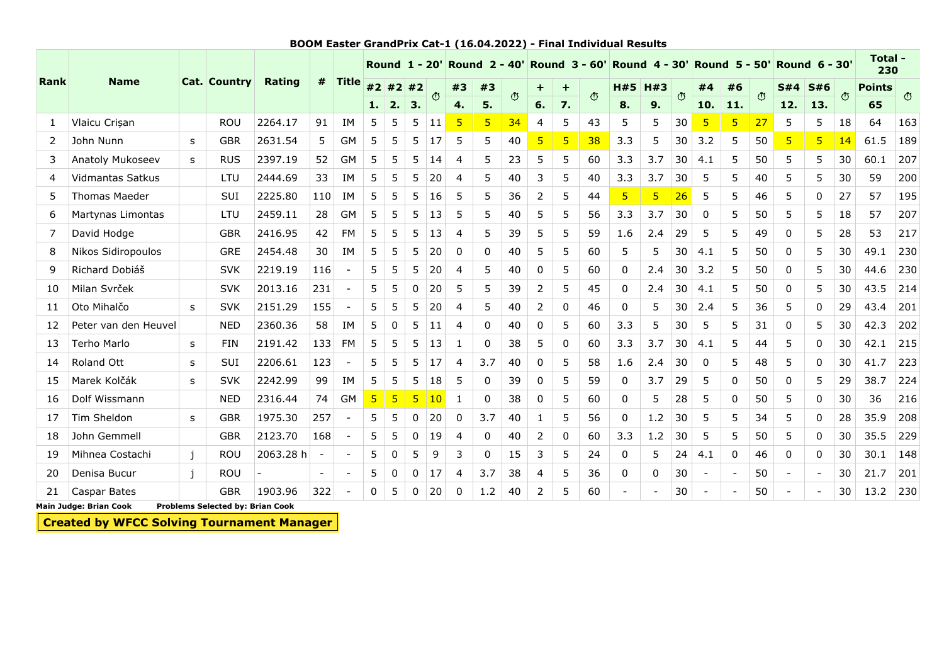|             |                         |              |                     |               |                          |                          | <b>Round 1 - 20'</b> |                |             | <b>Round 2 - 40'</b> |              |                 | <b>Round 3 - 60'</b> |          |           | <b>Round 4 - 30'</b> |                 |                | <b>Round 5 - 50'</b> |          |          | <b>Round 6 - 30'</b> |          |                          | Total -<br>230 |               |         |
|-------------|-------------------------|--------------|---------------------|---------------|--------------------------|--------------------------|----------------------|----------------|-------------|----------------------|--------------|-----------------|----------------------|----------|-----------|----------------------|-----------------|----------------|----------------------|----------|----------|----------------------|----------|--------------------------|----------------|---------------|---------|
| <b>Rank</b> | <b>Name</b>             |              | <b>Cat. Country</b> | <b>Rating</b> | #                        | <b>Title</b>             |                      | #2 #2 #2       |             | $\circ$              | #3           | #3              | $\Phi$               | ÷        | $\ddot{}$ | $\circ$              | H#5             | H#3            | $\mathbb{C}$         | #4       | #6       | $\bigcirc$           | S#4      | <b>S#6</b>               | $\circ$        | <b>Points</b> | $\circ$ |
|             |                         |              |                     |               |                          |                          | 1.                   | 2.             | 3.          |                      | 4.           | 5.              |                      | 6.       | 7.        |                      | 8.              | 9.             |                      | 10.      | 11.      |                      | 12.      | 13.                      |                | 65            |         |
| 1           | Vlaicu Crisan           |              | <b>ROU</b>          | 2264.17       | 91                       | IM                       | 5                    | 5              | 5           | 11                   | 5            | $5\overline{)}$ | 34                   | 4        | 5         | 43                   | 5               | 5              | 30                   | 5        | 5        | 27                   | 5        | 5                        | 18             | 64            | 163     |
| 2           | John Nunn               | s            | <b>GBR</b>          | 2631.54       | 5                        | <b>GM</b>                | 5                    | 5              | 5           | 17                   | 5            | 5               | 40                   | 5        | 5         | 38                   | 3.3             | 5              | 30                   | 3.2      | 5        | 50                   | 5        | 5 <sup>1</sup>           | 14             | 61.5          | 189     |
| 3           | Anatoly Mukoseev        | S            | <b>RUS</b>          | 2397.19       | 52                       | <b>GM</b>                | 5                    | 5              | 5           | 14                   | 4            | 5               | 23                   | 5        | 5         | 60                   | 3.3             | 3.7            | 30                   | 4.1      | 5        | 50                   | 5        | 5                        | 30             | 60.1          | 207     |
| 4           | <b>Vidmantas Satkus</b> |              | LTU                 | 2444.69       | 33                       | ΙM                       | 5                    | 5              | 5           | 20                   | 4            | 5               | 40                   | 3        | 5         | 40                   | 3.3             | 3.7            | 30                   | 5        | 5        | 40                   | 5        | 5                        | 30             | 59            | 200     |
| 5           | <b>Thomas Maeder</b>    |              | <b>SUI</b>          | 2225.80       | 110                      | <b>IM</b>                | 5                    | 5              | 5           | 16                   | 5            | 5               | 36                   | 2        | 5         | 44                   | $5\phantom{.0}$ | $\overline{5}$ | 26                   | 5        | 5        | 46                   | 5        | 0                        | 27             | 57            | 195     |
| 6           | Martynas Limontas       |              | LTU                 | 2459.11       | 28                       | GM                       | 5                    | 5              | 5           | 13                   | 5            | 5               | 40                   | 5        | 5         | 56                   | 3.3             | 3.7            | 30                   | 0        | 5        | 50                   | 5        | 5                        | 18             | 57            | 207     |
| 7           | David Hodge             |              | <b>GBR</b>          | 2416.95       | 42                       | <b>FM</b>                | 5                    | 5              | 5           | 13                   | 4            | 5               | 39                   | 5        | 5         | 59                   | 1.6             | 2.4            | 29                   | 5        | 5        | 49                   | 0        | 5                        | 28             | 53            | 217     |
| 8           | Nikos Sidiropoulos      |              | <b>GRE</b>          | 2454.48       | 30                       | ΙM                       | 5                    | 5              | 5           | 20                   | 0            | $\Omega$        | 40                   | 5        | 5         | 60                   | 5               | 5              | 30                   | 4.1      | 5        | 50                   | $\Omega$ | 5                        | 30             | 49.1          | 230     |
| 9           | Richard Dobiáš          |              | <b>SVK</b>          | 2219.19       | 116                      | $\overline{\phantom{a}}$ | 5                    | 5              | 5           | 20                   | 4            | 5               | 40                   | $\Omega$ | 5         | 60                   | 0               | 2.4            | 30                   | 3.2      | 5        | 50                   | $\Omega$ | 5                        | 30             | 44.6          | 230     |
| 10          | Milan Svrček            |              | <b>SVK</b>          | 2013.16       | 231                      | $\overline{\phantom{a}}$ | 5                    | 5              | 0           | 20                   | 5            | 5               | 39                   | 2        | 5         | 45                   | 0               | 2.4            | 30                   | 4.1      | 5        | 50                   | $\Omega$ | 5                        | 30             | 43.5          | 214     |
| 11          | Oto Mihalčo             | S            | <b>SVK</b>          | 2151.29       | 155                      | $\overline{\phantom{a}}$ | 5                    | 5              | 5           | 20                   | 4            | 5               | 40                   | 2        | $\Omega$  | 46                   | 0               | 5              | 30                   | 2.4      | 5        | 36                   | 5        | $\mathbf 0$              | 29             | 43.4          | 201     |
| 12          | Peter van den Heuvel    |              | <b>NED</b>          | 2360.36       | 58                       | ΙM                       | 5                    | 0              | 5           | 11                   | 4            | 0               | 40                   | 0        | 5         | 60                   | 3.3             | 5              | 30                   | 5        | 5        | 31                   | 0        | 5                        | 30             | 42.3          | 202     |
| 13          | Terho Marlo             | s            | <b>FIN</b>          | 2191.42       | 133                      | <b>FM</b>                | 5                    | 5              | 5           | 13                   | -1           | $\mathbf 0$     | 38                   | 5        | 0         | 60                   | 3.3             | 3.7            | 30                   | 4.1      | 5        | 44                   | 5        | $\mathbf 0$              | 30             | 42.1          | 215     |
| 14          | Roland Ott              | S            | SUI                 | 2206.61       | 123                      | $\overline{\phantom{a}}$ | 5                    | 5              | 5           | 17                   | 4            | 3.7             | 40                   | 0        | 5         | 58                   | 1.6             | 2.4            | 30                   | $\Omega$ | 5        | 48                   | 5        | $\Omega$                 | 30             | 41.7          | 223     |
| 15          | Marek Kolčák            | S            | <b>SVK</b>          | 2242.99       | 99                       | ΙM                       | 5                    | 5              | 5           | 18                   | 5            | $\mathbf 0$     | 39                   | 0        | 5         | 59                   | 0               | 3.7            | 29                   | 5        | $\Omega$ | 50                   | 0        | 5                        | 29             | 38.7          | 224     |
| 16          | Dolf Wissmann           |              | <b>NED</b>          | 2316.44       | 74                       | <b>GM</b>                | $\overline{5}$       | $\overline{5}$ | 5           | 10                   | $\mathbf{1}$ | $\mathbf 0$     | 38                   | 0        | 5         | 60                   | 0               | 5              | 28                   | 5        | $\Omega$ | 50                   | 5        | $\mathbf 0$              | 30             | 36            | 216     |
| 17          | Tim Sheldon             | s            | <b>GBR</b>          | 1975.30       | 257                      | $\sim$                   | 5                    | 5              | 0           | 20                   | 0            | 3.7             | 40                   | 1        | 5         | 56                   | 0               | 1.2            | 30                   | 5        | 5        | 34                   | 5        | $\mathbf 0$              | 28             | 35.9          | 208     |
| 18          | John Gemmell            |              | <b>GBR</b>          | 2123.70       | 168                      | $\overline{\phantom{a}}$ | 5                    | 5              | 0           | 19                   | 4            | $\mathbf 0$     | 40                   | 2        | $\Omega$  | 60                   | 3.3             | 1.2            | 30                   | 5        | 5        | 50                   | 5        | $\mathbf{0}$             | 30             | 35.5          | 229     |
| 19          | Mihnea Costachi         | j            | <b>ROU</b>          | 2063.28 h     | $\overline{\phantom{a}}$ | $\overline{\phantom{a}}$ | 5                    | 0              | 5           | 9                    | 3            | $\mathbf 0$     | 15                   | 3        | 5         | 24                   | 0               | 5              | 24                   | 4.1      | 0        | 46                   | 0        | 0                        | 30             | 30.1          | 148     |
| 20          | Denisa Bucur            | $\mathbf{i}$ | <b>ROU</b>          |               | $\overline{\phantom{a}}$ |                          | 5                    | 0              | 0           | 17                   | 4            | 3.7             | 38                   | 4        | 5         | 36                   | 0               | 0              | 30                   |          |          | 50                   |          | $\overline{\phantom{a}}$ | 30             | 21.7          | 201     |
| 21          | Caspar Bates            |              | <b>GBR</b>          | 1903.96       | 322                      | $\overline{\phantom{a}}$ | 0                    | 5              | $\mathbf 0$ | 20                   | 0            | 1.2             | 40                   | 2        | 5         | 60                   |                 |                | 30                   |          |          | 50                   |          | $\overline{a}$           | 30             | 13.2          | 230     |

## BOOM Easter GrandPrix Cat-1 (16.04.2022) - Final Individual Results

Main Judge: Brian Cook Problems Selected by: Brian Cook

Created by WFCC Solving Tournament Manager